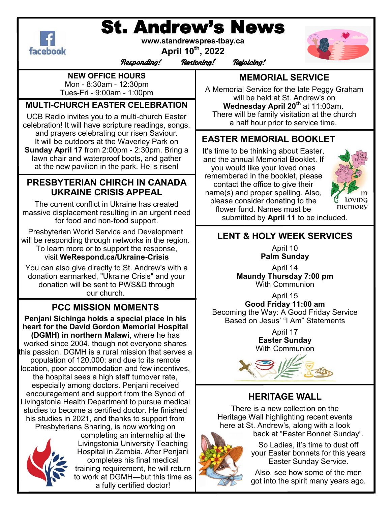# St. Andrew's News



**www.standrewspres-tbay.ca**

**April 10th, 2022**



Responding! Restoring! Rejoicing!

#### **NEW OFFICE HOURS**

Mon - 8:30am - 12:30pm Tues-Fri - 9:00am - 1:00pm

#### **MULTI-CHURCH EASTER CELEBRATION**

UCB Radio invites you to a multi-church Easter celebration! It will have scripture readings, songs, and prayers celebrating our risen Saviour. It will be outdoors at the Waverley Park on **Sunday April 17** from 2:00pm - 2:30pm. Bring a lawn chair and waterproof boots, and gather at the new pavilion in the park. He is risen!

#### **PRESBYTERIAN CHIRCH IN CANADA UKRAINE CRISIS APPEAL**

The current conflict in Ukraine has created massive displacement resulting in an urgent need for food and non-food support.

Presbyterian World Service and Development will be responding through networks in the region. To learn more or to support the response, visit **WeRespond.ca/Ukraine-Crisis**

You can also give directly to St. Andrew's with a donation earmarked, "Ukraine Crisis" and your donation will be sent to PWS&D through our church.

## **PCC MISSION MOMENTS**

**Penjani Sichinga holds a special place in his heart for the David Gordon Memorial Hospital (DGMH) in northern Malawi**, where he has worked since 2004, though not everyone shares this passion. DGMH is a rural mission that serves a population of 120,000; and due to its remote location, poor accommodation and few incentives, the hospital sees a high staff turnover rate, especially among doctors. Penjani received encouragement and support from the Synod of Livingstonia Health Department to pursue medical studies to become a certified doctor. He finished his studies in 2021, and thanks to support from Presbyterians Sharing, is now working on



completing an internship at the Livingstonia University Teaching Hospital in Zambia. After Penjani completes his final medical training requirement, he will return to work at DGMH—but this time as a fully certified doctor!

## **MEMORIAL SERVICE**

A Memorial Service for the late Peggy Graham will be held at St. Andrew's on **Wednesday April 20th** at 11:00am. There will be family visitation at the church a half hour prior to service time.

### **EASTER MEMORIAL BOOKLET**

It's time to be thinking about Easter, and the annual Memorial Booklet. If you would like your loved ones remembered in the booklet, please contact the office to give their name(s) and proper spelling. Also, please consider donating to the flower fund. Names must be



submitted by **April 11** to be included.

## **LENT & HOLY WEEK SERVICES**

April 10 **Palm Sunday**

April 14 **Maundy Thursday 7:00 pm** With Communion

April 15 **Good Friday 11:00 am** Becoming the Way: A Good Friday Service Based on Jesus' "I Am" Statements

> April 17 **Easter Sunday** With Communion



### **HERITAGE WALL**

There is a new collection on the Heritage Wall highlighting recent events here at St. Andrew's, along with a look back at "Easter Bonnet Sunday".

> So Ladies, it's time to dust off your Easter bonnets for this years Easter Sunday Service.

> Also, see how some of the men got into the spirit many years ago.